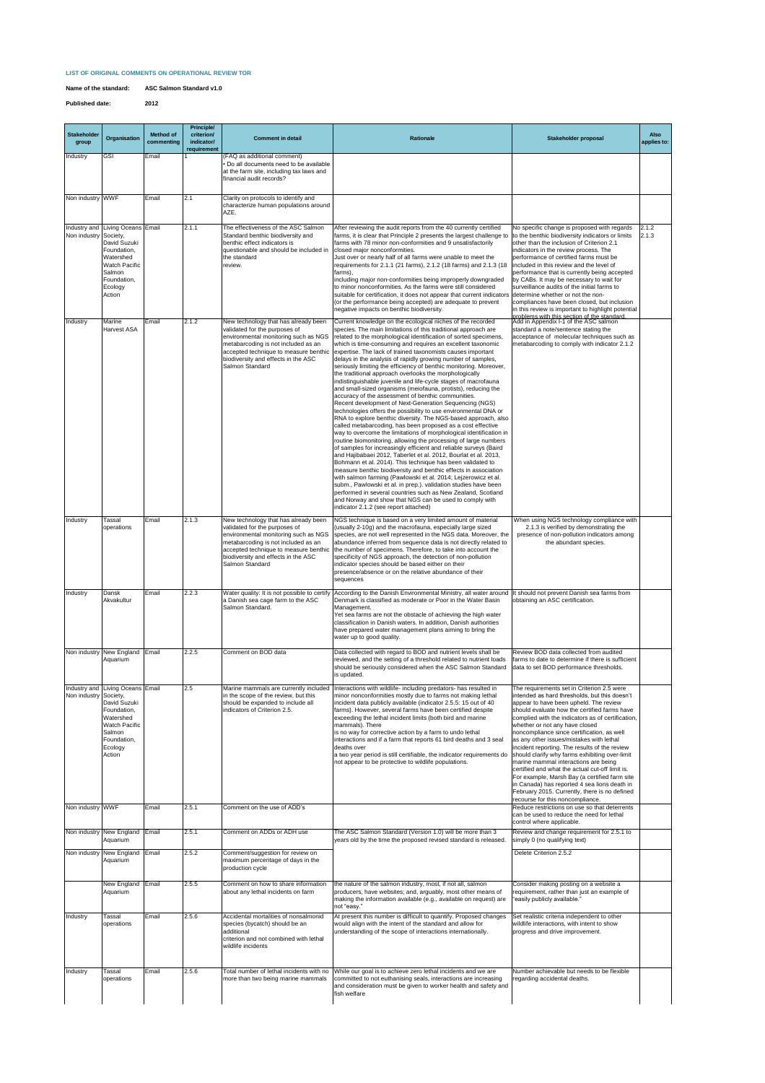## **LIST OF ORIGINAL COMMENTS ON OPERATIONAL REVIEW TOR**

| <b>Stakeholder</b><br>group | Organisation                                                                                                                                              | <b>Method of</b><br>commenting | <b>Principle/</b><br>criterion/<br>indicator/<br>requirement | <b>Comment in detail</b>                                                                                                                                                                                                                                | <b>Rationale</b>                                                                                                                                                                                                                                                                                                                                                                                                                                                                                                                                                                                                                                                                                                                                                                                                                                                                                                                                                                                                                                                                                                                                                                                                                                                                                                                                                                                                                                                                                                                                                                                                                                                                                                                                        | <b>Stakeholder proposal</b>                                                                                                                                                                                                                                                                                                                                                                                                                                                                                                                                                                                                                                                                                            | <b>Also</b><br>applies to: |
|-----------------------------|-----------------------------------------------------------------------------------------------------------------------------------------------------------|--------------------------------|--------------------------------------------------------------|---------------------------------------------------------------------------------------------------------------------------------------------------------------------------------------------------------------------------------------------------------|---------------------------------------------------------------------------------------------------------------------------------------------------------------------------------------------------------------------------------------------------------------------------------------------------------------------------------------------------------------------------------------------------------------------------------------------------------------------------------------------------------------------------------------------------------------------------------------------------------------------------------------------------------------------------------------------------------------------------------------------------------------------------------------------------------------------------------------------------------------------------------------------------------------------------------------------------------------------------------------------------------------------------------------------------------------------------------------------------------------------------------------------------------------------------------------------------------------------------------------------------------------------------------------------------------------------------------------------------------------------------------------------------------------------------------------------------------------------------------------------------------------------------------------------------------------------------------------------------------------------------------------------------------------------------------------------------------------------------------------------------------|------------------------------------------------------------------------------------------------------------------------------------------------------------------------------------------------------------------------------------------------------------------------------------------------------------------------------------------------------------------------------------------------------------------------------------------------------------------------------------------------------------------------------------------------------------------------------------------------------------------------------------------------------------------------------------------------------------------------|----------------------------|
| <b>Industry</b>             | <b>GSI</b>                                                                                                                                                | Email                          |                                                              | (FAQ as additional comment)<br>• Do all documents need to be available<br>at the farm site, including tax laws and<br>financial audit records?                                                                                                          |                                                                                                                                                                                                                                                                                                                                                                                                                                                                                                                                                                                                                                                                                                                                                                                                                                                                                                                                                                                                                                                                                                                                                                                                                                                                                                                                                                                                                                                                                                                                                                                                                                                                                                                                                         |                                                                                                                                                                                                                                                                                                                                                                                                                                                                                                                                                                                                                                                                                                                        |                            |
| Non industry WWF            |                                                                                                                                                           | Email                          | 2.1                                                          | Clarity on protocols to identify and<br>characterize human populations around<br>AZE.                                                                                                                                                                   |                                                                                                                                                                                                                                                                                                                                                                                                                                                                                                                                                                                                                                                                                                                                                                                                                                                                                                                                                                                                                                                                                                                                                                                                                                                                                                                                                                                                                                                                                                                                                                                                                                                                                                                                                         |                                                                                                                                                                                                                                                                                                                                                                                                                                                                                                                                                                                                                                                                                                                        |                            |
| Non industry Society,       | Industry and Living Oceans Email<br>David Suzuki<br>Foundation,<br><b>Watershed</b><br><b>Watch Pacific</b><br>Salmon<br>Foundation,<br>Ecology<br>Action |                                | 2.1.1                                                        | The effectiveness of the ASC Salmon<br>Standard benthic biodiversity and<br>benthic effect indicators is<br>questionable and should be included in<br>the standard<br>review.                                                                           | After reviewing the audit reports from the 40 currently certified<br>farms, it is clear that Principle 2 presents the largest challenge to   to the benthic biodiversity indicators or limits<br>farms with 78 minor non-conformities and 9 unsatisfactorily<br>closed major nonconformities.<br>Just over or nearly half of all farms were unable to meet the<br>requirements for 2.1.1 (21 farms), 2.1.2 (18 farms) and 2.1.3 (18<br>farms),<br>including major non-conformities being improperly downgraded<br>to minor nonconformities. As the farms were still considered<br>suitable for certification, it does not appear that current indicators determine whether or not the non-<br>(or the performance being accepted) are adequate to prevent<br>negative impacts on benthic biodiversity.                                                                                                                                                                                                                                                                                                                                                                                                                                                                                                                                                                                                                                                                                                                                                                                                                                                                                                                                                  | No specific change is proposed with regards<br>other than the inclusion of Criterion 2.1<br>indicators in the review process. The<br>performance of certified farms must be<br>lincluded in this review and the level of<br>performance that is currently being accepted<br>by CABs. It may be necessary to wait for<br>surveillance audits of the initial farms to<br>compliances have been closed, but inclusion<br>In this review is important to highlight potential<br>problems with this section of the standard                                                                                                                                                                                                 | 2.1.2<br>2.1.3             |
| <b>Industry</b>             | <b>Marine</b><br>Harvest ASA                                                                                                                              | Email                          | 2.1.2                                                        | New technology that has already been<br>validated for the purposes of<br>environmental monitoring such as NGS<br>metabarcoding is not included as an<br>biodiversity and effects in the ASC<br>Salmon Standard                                          | Current knowledge on the ecological niches of the recorded<br>species. The main limitations of this traditional approach are<br>related to the morphological identification of sorted specimens,<br>which is time-consuming and requires an excellent taxonomic<br>accepted technique to measure benthic lexpertise. The lack of trained taxonomists causes important<br>delays in the analysis of rapidly growing number of samples,<br>seriously limiting the efficiency of benthic monitoring. Moreover,<br>the traditional approach overlooks the morphologically<br>indistinguishable juvenile and life-cycle stages of macrofauna<br>and small-sized organisms (meiofauna, protists), reducing the<br>accuracy of the assessment of benthic communities.<br>Recent development of Next-Generation Sequencing (NGS)<br>technologies offers the possibility to use environmental DNA or<br>RNA to explore benthic diversity. The NGS-based approach, also<br>called metabarcoding, has been proposed as a cost effective<br>way to overcome the limitations of morphological identification in<br>routine biomonitoring, allowing the processing of large numbers<br>of samples for increasingly efficient and reliable surveys (Baird<br>and Hajibabaei 2012, Taberlet et al. 2012, Bourlat et al. 2013,<br>Bohmann et al. 2014). This technique has been validated to<br>measure benthic biodiversity and benthic effects in association<br>with salmon farming (Pawlowski et al. 2014; Lejzerowicz et al.<br>subm., Pawlowski et al. in prep.). validation studies have been<br>performed in several countries such as New Zealand, Scotland<br>and Norway and show that NGS can be used to comply with<br>indicator 2.1.2 (see report attached) | Add in Appendix I-1 of the ASC salmon<br>standard a note/sentence stating the<br>acceptance of molecular techniques such as<br>Imetabarcoding to comply with indicator 2.1.2                                                                                                                                                                                                                                                                                                                                                                                                                                                                                                                                           |                            |
| Industry                    | Tassal<br>operations                                                                                                                                      | Email                          | 2.1.3                                                        | New technology that has already been<br>validated for the purposes of<br>environmental monitoring such as NGS<br>metabarcoding is not included as an<br>accepted technique to measure benthic<br>biodiversity and effects in the ASC<br>Salmon Standard | NGS technique is based on a very limited amount of material<br>(usually 2-10g) and the macrofauna, especially large sized<br>species, are not well represented in the NGS data. Moreover, the<br>abundance inferred from sequence data is not directly related to<br>the number of specimens. Therefore, to take into account the<br>specificity of NGS approach, the detection of non-pollution<br>indicator species should be based either on their<br>presence/absence or on the relative abundance of their<br>sequences                                                                                                                                                                                                                                                                                                                                                                                                                                                                                                                                                                                                                                                                                                                                                                                                                                                                                                                                                                                                                                                                                                                                                                                                                            | When using NGS technology compliance with<br>2.1.3 is verified by demonstrating the<br>presence of non-pollution indicators among<br>the abundant species.                                                                                                                                                                                                                                                                                                                                                                                                                                                                                                                                                             |                            |
| <b>Industry</b>             | Dansk<br>Akvakultur                                                                                                                                       | Email                          | 2.2.3                                                        | Water quality: It is not possible to certify<br>a Danish sea cage farm to the ASC<br>Salmon Standard.                                                                                                                                                   | According to the Danish Environmental Ministry, all water around It should not prevent Danish sea farms from<br>Denmark is classified as moderate or Poor in the Water Basin<br>Management.<br>Yet sea farms are not the obstacle of achieving the high water<br>classification in Danish waters. In addition, Danish authorities<br>have prepared water management plans aiming to bring the<br>water up to good quality.                                                                                                                                                                                                                                                                                                                                                                                                                                                                                                                                                                                                                                                                                                                                                                                                                                                                                                                                                                                                                                                                                                                                                                                                                                                                                                                              | obtaining an ASC certification.                                                                                                                                                                                                                                                                                                                                                                                                                                                                                                                                                                                                                                                                                        |                            |
|                             | Non industry New England Email<br>Aquarium                                                                                                                |                                | 2.2.5                                                        | Comment on BOD data                                                                                                                                                                                                                                     | Data collected with regard to BOD and nutrient levels shall be<br>reviewed, and the setting of a threshold related to nutrient loads<br>should be seriously considered when the ASC Salmon Standard<br>is updated.                                                                                                                                                                                                                                                                                                                                                                                                                                                                                                                                                                                                                                                                                                                                                                                                                                                                                                                                                                                                                                                                                                                                                                                                                                                                                                                                                                                                                                                                                                                                      | Review BOD data collected from audited<br>farms to date to determine if there is sufficient<br>data to set BOD performance thresholds.                                                                                                                                                                                                                                                                                                                                                                                                                                                                                                                                                                                 |                            |
| Non industry Society,       | Industry and Living Oceans Email<br>David Suzuki<br>Foundation,<br>Watershed<br><b>Watch Pacific</b><br>Salmon<br>Foundation,<br>Ecology<br>Action        |                                | 2.5                                                          | Marine mammals are currently included<br>in the scope of the review, but this<br>should be expanded to include all<br>Indicators of Criterion 2.5.                                                                                                      | Interactions with wildlife- including predators- has resulted in<br>minor nonconformities mostly due to farms not making lethal<br>incident data publicly available (indicator 2.5.5: 15 out of 40<br>farms). However, several farms have been certified despite<br>exceeding the lethal incident limits (both bird and marine<br>mammals). There<br>is no way for corrective action by a farm to undo lethal<br>interactions and if a farm that reports 61 bird deaths and 3 seal<br>deaths over<br>a two year period is still certifiable, the indicator requirements do<br>not appear to be protective to wildlife populations.                                                                                                                                                                                                                                                                                                                                                                                                                                                                                                                                                                                                                                                                                                                                                                                                                                                                                                                                                                                                                                                                                                                      | The requirements set in Criterion 2.5 were<br>intended as hard thresholds, but this doesn't<br>appear to have been upheld. The review<br>should evaluate how the certified farms have<br>complied with the indicators as of certification,<br>whether or not any have closed<br>noncompliance since certification, as well<br>as any other issues/mistakes with lethal<br>incident reporting. The results of the review<br>should clarify why farms exhibiting over-limit<br>marine mammal interactions are being<br>certified and what the actual cut-off limit is.<br>For example, Marsh Bay (a certified farm site<br>in Canada) has reported 4 sea lions death in<br>February 2015. Currently, there is no defined |                            |
| Non industry WWF            |                                                                                                                                                           | Email                          | 2.5.1                                                        | Comment on the use of ADD's                                                                                                                                                                                                                             |                                                                                                                                                                                                                                                                                                                                                                                                                                                                                                                                                                                                                                                                                                                                                                                                                                                                                                                                                                                                                                                                                                                                                                                                                                                                                                                                                                                                                                                                                                                                                                                                                                                                                                                                                         | recourse for this noncompliance.<br>Reduce restrictions on use so that deterrents<br>can be used to reduce the need for lethal<br>control where applicable.                                                                                                                                                                                                                                                                                                                                                                                                                                                                                                                                                            |                            |
|                             | Non industry New England   Email<br>Aquarium                                                                                                              |                                | 2.5.1                                                        | Comment on ADDs or ADH use                                                                                                                                                                                                                              | The ASC Salmon Standard (Version 1.0) will be more than 3<br>years old by the time the proposed revised standard is released.                                                                                                                                                                                                                                                                                                                                                                                                                                                                                                                                                                                                                                                                                                                                                                                                                                                                                                                                                                                                                                                                                                                                                                                                                                                                                                                                                                                                                                                                                                                                                                                                                           | Review and change requirement for 2.5.1 to<br>simply 0 (no qualifying text)                                                                                                                                                                                                                                                                                                                                                                                                                                                                                                                                                                                                                                            |                            |
|                             | Non industry New England   Email<br>Aquarium                                                                                                              |                                | 2.5.2                                                        | Comment/suggestion for review on<br>maximum percentage of days in the<br>production cycle                                                                                                                                                               |                                                                                                                                                                                                                                                                                                                                                                                                                                                                                                                                                                                                                                                                                                                                                                                                                                                                                                                                                                                                                                                                                                                                                                                                                                                                                                                                                                                                                                                                                                                                                                                                                                                                                                                                                         | Delete Criterion 2.5.2                                                                                                                                                                                                                                                                                                                                                                                                                                                                                                                                                                                                                                                                                                 |                            |
|                             | New England Email<br>Aquarium                                                                                                                             |                                | 2.5.5                                                        | Comment on how to share information<br>about any lethal incidents on farm                                                                                                                                                                               | the nature of the salmon industry, most, if not all, salmon<br>producers, have websites; and, arguably, most other means of<br>making the information available (e.g., available on request) are<br>not "easy."                                                                                                                                                                                                                                                                                                                                                                                                                                                                                                                                                                                                                                                                                                                                                                                                                                                                                                                                                                                                                                                                                                                                                                                                                                                                                                                                                                                                                                                                                                                                         | Consider making posting on a website a<br>requirement, rather than just an example of<br>"easily publicly available."                                                                                                                                                                                                                                                                                                                                                                                                                                                                                                                                                                                                  |                            |
| Industry                    | Tassal<br>operations                                                                                                                                      | Email                          | 2.5.6                                                        | Accidental mortalities of nonsalmonid<br>species (bycatch) should be an<br>additional<br>criterion and not combined with lethal<br>wildlife incidents                                                                                                   | At present this number is difficult to quantify. Proposed changes<br>would align with the intent of the standard and allow for<br>understanding of the scope of interactions internationally.                                                                                                                                                                                                                                                                                                                                                                                                                                                                                                                                                                                                                                                                                                                                                                                                                                                                                                                                                                                                                                                                                                                                                                                                                                                                                                                                                                                                                                                                                                                                                           | Set realistic criteria independent to other<br>wildlife interactions, with intent to show<br>progress and drive improvement.                                                                                                                                                                                                                                                                                                                                                                                                                                                                                                                                                                                           |                            |
| Industry                    | Tassal<br>operations                                                                                                                                      | Email                          | 2.5.6                                                        | Total number of lethal incidents with no<br>more than two being marine mammals                                                                                                                                                                          | While our goal is to achieve zero lethal incidents and we are<br>committed to not euthanising seals, interactions are increasing<br>and consideration must be given to worker health and safety and<br>fish welfare                                                                                                                                                                                                                                                                                                                                                                                                                                                                                                                                                                                                                                                                                                                                                                                                                                                                                                                                                                                                                                                                                                                                                                                                                                                                                                                                                                                                                                                                                                                                     | Number achievable but needs to be flexible<br>regarding accidental deaths.                                                                                                                                                                                                                                                                                                                                                                                                                                                                                                                                                                                                                                             |                            |

**Name of the standard: ASC Salmon Standard v1.0**

**Published date: 2012**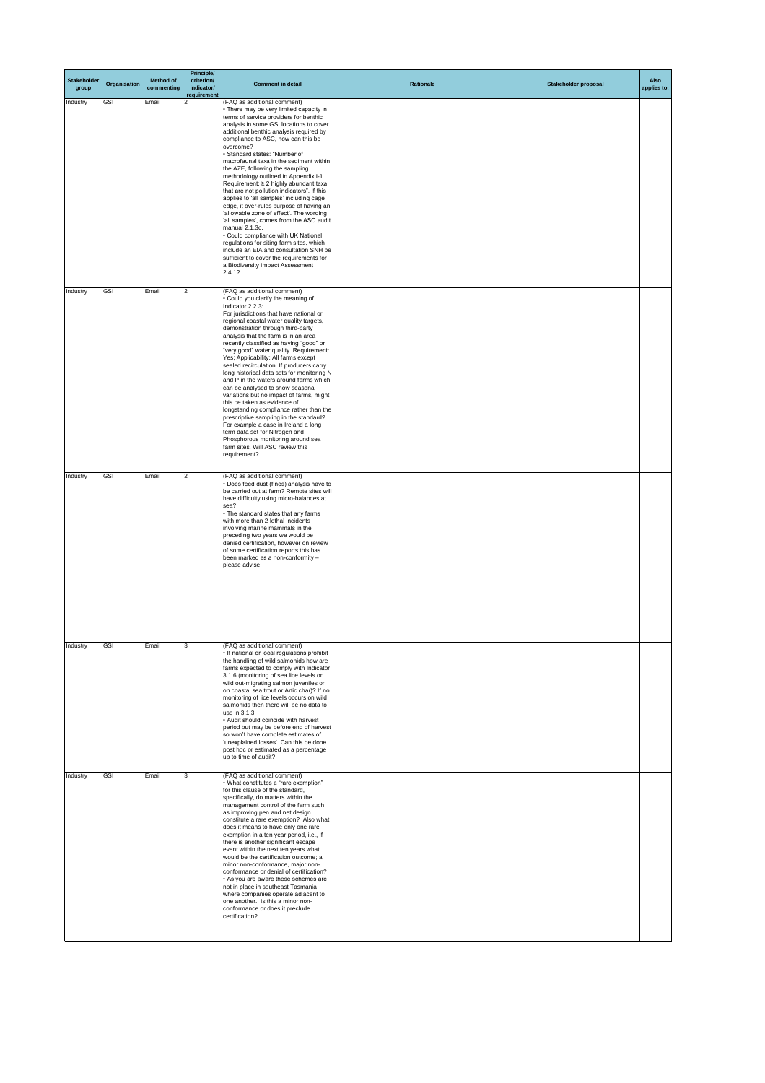| <b>Stakeholder</b><br>group | Organisation | <b>Method of</b><br>commenting | <b>Principle/</b><br>criterion/<br>indicator/<br>requirement | <b>Comment in detail</b>                                                                                                                                                                                                                                                                                                                                                                                                                                                                                                                                                                                                                                                                                                                                                                                                                                                                                                     | Rationale | <b>Stakeholder proposal</b> | <b>Also</b><br>applies to: |
|-----------------------------|--------------|--------------------------------|--------------------------------------------------------------|------------------------------------------------------------------------------------------------------------------------------------------------------------------------------------------------------------------------------------------------------------------------------------------------------------------------------------------------------------------------------------------------------------------------------------------------------------------------------------------------------------------------------------------------------------------------------------------------------------------------------------------------------------------------------------------------------------------------------------------------------------------------------------------------------------------------------------------------------------------------------------------------------------------------------|-----------|-----------------------------|----------------------------|
| Industry                    | <b>GSI</b>   | Email                          |                                                              | (FAQ as additional comment)<br>• There may be very limited capacity in<br>terms of service providers for benthic<br>analysis in some GSI locations to cover<br>additional benthic analysis required by<br>compliance to ASC, how can this be<br>overcome?<br>· Standard states: "Number of<br>macrofaunal taxa in the sediment within<br>the AZE, following the sampling<br>methodology outlined in Appendix I-1<br>Requirement: ≥ 2 highly abundant taxa<br>that are not pollution indicators". If this<br>applies to 'all samples' including cage<br>edge, it over-rules purpose of having an<br>'allowable zone of effect'. The wording<br>'all samples', comes from the ASC audit<br>manual 2.1.3c.<br>Could compliance with UK National<br>regulations for siting farm sites, which<br>include an EIA and consultation SNH be<br>sufficient to cover the requirements for<br>a Biodiversity Impact Assessment<br>2.4.1? |           |                             |                            |
| Industry                    | <b>GSI</b>   | Email                          | 2                                                            | (FAQ as additional comment)<br>• Could you clarify the meaning of<br>Indicator 2.2.3:<br>For jurisdictions that have national or<br>regional coastal water quality targets,<br>demonstration through third-party<br>analysis that the farm is in an area<br>recently classified as having "good" or<br>"very good" water quality. Requirement:<br>Yes; Applicability: All farms except<br>sealed recirculation. If producers carry<br>long historical data sets for monitoring N <br>and P in the waters around farms which<br>can be analysed to show seasonal<br>variations but no impact of farms, might<br>this be taken as evidence of<br>longstanding compliance rather than the<br>prescriptive sampling in the standard?<br>For example a case in Ireland a long<br>term data set for Nitrogen and<br>Phosphorous monitoring around sea<br>farm sites. Will ASC review this<br>requirement?                          |           |                             |                            |
| Industry                    | GSI          | Email                          |                                                              | (FAQ as additional comment)<br>• Does feed dust (fines) analysis have to  <br>be carried out at farm? Remote sites will<br>have difficulty using micro-balances at<br>sea?<br>• The standard states that any farms<br>with more than 2 lethal incidents<br>involving marine mammals in the<br>preceding two years we would be<br>denied certification, however on review<br>of some certification reports this has<br>been marked as a non-conformity -<br>please advise                                                                                                                                                                                                                                                                                                                                                                                                                                                     |           |                             |                            |
| Industry                    | GSI          | Email                          | 3                                                            | (FAQ as additional comment)<br>. If national or local regulations prohibit<br>the handling of wild salmonids how are<br>farms expected to comply with Indicator<br>3.1.6 (monitoring of sea lice levels on<br>wild out-migrating salmon juveniles or<br>on coastal sea trout or Artic char)? If no<br>monitoring of lice levels occurs on wild<br>salmonids then there will be no data to<br>use in 3.1.3<br>• Audit should coincide with harvest<br>period but may be before end of harvest<br>so won't have complete estimates of<br>'unexplained losses'. Can this be done<br>post hoc or estimated as a percentage<br>up to time of audit?                                                                                                                                                                                                                                                                               |           |                             |                            |
| Industry                    | GSI          | Email                          | 3                                                            | (FAQ as additional comment)<br>• What constitutes a "rare exemption"<br>for this clause of the standard,<br>specifically, do matters within the<br>management control of the farm such<br>as improving pen and net design<br>constitute a rare exemption? Also what<br>does it means to have only one rare<br>exemption in a ten year period, i.e., if<br>there is another significant escape<br>event within the next ten years what<br>would be the certification outcome; a<br>minor non-conformance, major non-<br>conformance or denial of certification?<br>• As you are aware these schemes are<br>not in place in southeast Tasmania<br>where companies operate adjacent to<br>one another. Is this a minor non-                                                                                                                                                                                                     |           |                             |                            |

|  |  | $\sim$ 110 0110 0110 1. 10 01110 0 1111110 111011 |  |  |
|--|--|---------------------------------------------------|--|--|
|  |  | conformance or does it preclude                   |  |  |
|  |  | certification?                                    |  |  |
|  |  |                                                   |  |  |
|  |  |                                                   |  |  |
|  |  |                                                   |  |  |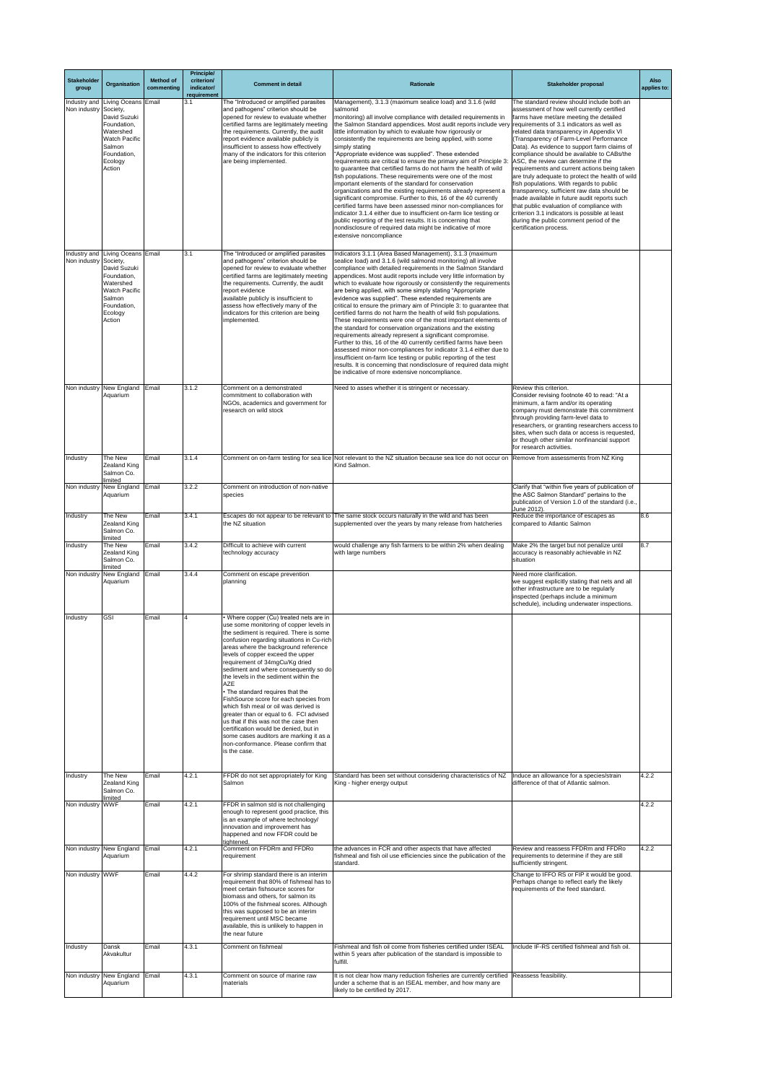| <b>Stakeholder</b><br>group | Organisation                                                                                                                                       | <b>Method of</b><br>commenting | <b>Principle/</b><br>criterion/<br>indicator/<br>requirement | <b>Comment in detail</b>                                                                                                                                                                                                                                                                                                                                                                                                                                                                                                                                                                                                                                                                                                                       | <b>Rationale</b>                                                                                                                                                                                                                                                                                                                                                                                                                                                                                                                                                                                                                                                                                                                                                                                                                                                                                                                                                                                                                                                                                                                             | <b>Stakeholder proposal</b>                                                                                                                                                                                                                                                                                                                                                                                                                                                                                                                                                                                                                                                                                                                                                                                                    | <b>Also</b><br>applies to: |
|-----------------------------|----------------------------------------------------------------------------------------------------------------------------------------------------|--------------------------------|--------------------------------------------------------------|------------------------------------------------------------------------------------------------------------------------------------------------------------------------------------------------------------------------------------------------------------------------------------------------------------------------------------------------------------------------------------------------------------------------------------------------------------------------------------------------------------------------------------------------------------------------------------------------------------------------------------------------------------------------------------------------------------------------------------------------|----------------------------------------------------------------------------------------------------------------------------------------------------------------------------------------------------------------------------------------------------------------------------------------------------------------------------------------------------------------------------------------------------------------------------------------------------------------------------------------------------------------------------------------------------------------------------------------------------------------------------------------------------------------------------------------------------------------------------------------------------------------------------------------------------------------------------------------------------------------------------------------------------------------------------------------------------------------------------------------------------------------------------------------------------------------------------------------------------------------------------------------------|--------------------------------------------------------------------------------------------------------------------------------------------------------------------------------------------------------------------------------------------------------------------------------------------------------------------------------------------------------------------------------------------------------------------------------------------------------------------------------------------------------------------------------------------------------------------------------------------------------------------------------------------------------------------------------------------------------------------------------------------------------------------------------------------------------------------------------|----------------------------|
| Non industry   Society,     | Industry and Living Oceans Email<br>David Suzuki<br>Foundation,<br>Watershed<br><b>Watch Pacific</b><br>Salmon<br>Foundation,<br>Ecology<br>Action |                                | 3.1                                                          | The "Introduced or amplified parasites<br>and pathogens" criterion should be<br>opened for review to evaluate whether<br>certified farms are legitimately meeting<br>the requirements. Currently, the audit<br>report evidence available publicly is<br>insufficient to assess how effectively<br>many of the indicators for this criterion<br>are being implemented.                                                                                                                                                                                                                                                                                                                                                                          | Management), 3.1.3 (maximum sealice load) and 3.1.6 (wild<br>salmonid<br>monitoring) all involve compliance with detailed requirements in<br>the Salmon Standard appendices. Most audit reports include very<br>little information by which to evaluate how rigorously or<br>consistently the requirements are being applied, with some<br>simply stating<br>"Appropriate evidence was supplied". These extended<br>requirements are critical to ensure the primary aim of Principle 3<br>to guarantee that certified farms do not harm the health of wild<br>fish populations. These requirements were one of the most<br>important elements of the standard for conservation<br>organizations and the existing requirements already represent a<br>significant compromise. Further to this, 16 of the 40 currently<br>certified farms have been assessed minor non-compliances for<br>indicator 3.1.4 either due to insufficient on-farm lice testing or<br>public reporting of the test results. It is concerning that<br>nondisclosure of required data might be indicative of more<br>extensive noncompliance                           | The standard review should include both an<br>assessment of how well currently certified<br>farms have met/are meeting the detailed<br>requirements of 3.1 indicators as well as<br>related data transparency in Appendix VI<br>(Transparency of Farm-Level Performance<br>Data). As evidence to support farm claims of<br>compliance should be available to CABs/the<br>ASC, the review can determine if the<br>requirements and current actions being taken<br>are truly adequate to protect the health of wild<br>fish populations. With regards to public<br>transparency, sufficient raw data should be<br>made available in future audit reports such<br>that public evaluation of compliance with<br>criterion 3.1 indicators is possible at least<br>during the public comment period of the<br>certification process. |                            |
| Non industry Society,       | Industry and Living Oceans Email<br>David Suzuki<br>Foundation,<br>Watershed<br><b>Watch Pacific</b><br>Salmon<br>Foundation,<br>Ecology<br>Action |                                | 3.1                                                          | The "Introduced or amplified parasites<br>and pathogens" criterion should be<br>opened for review to evaluate whether<br>certified farms are legitimately meeting<br>the requirements. Currently, the audit<br>report evidence<br>available publicly is insufficient to<br>assess how effectively many of the<br>indicators for this criterion are being<br>implemented.                                                                                                                                                                                                                                                                                                                                                                       | Indicators 3.1.1 (Area Based Management), 3.1.3 (maximum<br>sealice load) and 3.1.6 (wild salmonid monitoring) all involve<br>compliance with detailed requirements in the Salmon Standard<br>appendices. Most audit reports include very little information by<br>which to evaluate how rigorously or consistently the requirements<br>are being applied, with some simply stating "Appropriate"<br>evidence was supplied". These extended requirements are<br>critical to ensure the primary aim of Principle 3: to guarantee that<br>certified farms do not harm the health of wild fish populations.<br>These requirements were one of the most important elements of<br>the standard for conservation organizations and the existing<br>requirements already represent a significant compromise.<br>Further to this, 16 of the 40 currently certified farms have been<br>assessed minor non-compliances for indicator 3.1.4 either due to<br>insufficient on-farm lice testing or public reporting of the test<br>results. It is concerning that nondisclosure of required data might<br>be indicative of more extensive noncompliance. |                                                                                                                                                                                                                                                                                                                                                                                                                                                                                                                                                                                                                                                                                                                                                                                                                                |                            |
|                             | Non industry New England<br>Aquarium                                                                                                               | Email                          | 3.1.2                                                        | Comment on a demonstrated<br>commitment to collaboration with<br>NGOs, academics and government for<br>research on wild stock                                                                                                                                                                                                                                                                                                                                                                                                                                                                                                                                                                                                                  | Need to asses whether it is stringent or necessary.                                                                                                                                                                                                                                                                                                                                                                                                                                                                                                                                                                                                                                                                                                                                                                                                                                                                                                                                                                                                                                                                                          | Review this criterion.<br>Consider revising footnote 40 to read: "At a<br>minimum, a farm and/or its operating<br>company must demonstrate this commitment<br>through providing farm-level data to<br>researchers, or granting researchers access to<br>sites, when such data or access is requested,<br>or though other similar nonfinancial support<br>for research activities.                                                                                                                                                                                                                                                                                                                                                                                                                                              |                            |
| <b>Industry</b>             | The New<br>Zealand King<br>Salmon Co.<br>limited                                                                                                   | Email                          | 3.1.4                                                        |                                                                                                                                                                                                                                                                                                                                                                                                                                                                                                                                                                                                                                                                                                                                                | Comment on on-farm testing for sea lice Not relevant to the NZ situation because sea lice do not occur on Remove from assessments from NZ King<br>Kind Salmon.                                                                                                                                                                                                                                                                                                                                                                                                                                                                                                                                                                                                                                                                                                                                                                                                                                                                                                                                                                               |                                                                                                                                                                                                                                                                                                                                                                                                                                                                                                                                                                                                                                                                                                                                                                                                                                |                            |
|                             | Non industry   New England   Email<br>Aquarium                                                                                                     |                                | 3.2.2                                                        | Comment on introduction of non-native<br>species                                                                                                                                                                                                                                                                                                                                                                                                                                                                                                                                                                                                                                                                                               |                                                                                                                                                                                                                                                                                                                                                                                                                                                                                                                                                                                                                                                                                                                                                                                                                                                                                                                                                                                                                                                                                                                                              | Clarify that "within five years of publication of<br>the ASC Salmon Standard" pertains to the<br>publication of Version 1.0 of the standard (i.e.,<br>June 2012).                                                                                                                                                                                                                                                                                                                                                                                                                                                                                                                                                                                                                                                              |                            |
| Industry                    | The New<br>Zealand King<br>Salmon Co.                                                                                                              | Email                          | 3.4.1                                                        | the NZ situation                                                                                                                                                                                                                                                                                                                                                                                                                                                                                                                                                                                                                                                                                                                               | Escapes do not appear to be relevant to The same stock occurs naturally in the wild and has been<br>supplemented over the years by many release from hatcheries                                                                                                                                                                                                                                                                                                                                                                                                                                                                                                                                                                                                                                                                                                                                                                                                                                                                                                                                                                              | Reduce the importance of escapes as<br>compared to Atlantic Salmon                                                                                                                                                                                                                                                                                                                                                                                                                                                                                                                                                                                                                                                                                                                                                             | 8.6                        |
| <b>Industry</b>             | limited<br>The New<br>Zealand King<br>Salmon Co.                                                                                                   | Email                          | 3.4.2                                                        | Difficult to achieve with current<br>technology accuracy                                                                                                                                                                                                                                                                                                                                                                                                                                                                                                                                                                                                                                                                                       | would challenge any fish farmers to be within 2% when dealing<br>with large numbers                                                                                                                                                                                                                                                                                                                                                                                                                                                                                                                                                                                                                                                                                                                                                                                                                                                                                                                                                                                                                                                          | Make 2% the target but not penalize until<br>accuracy is reasonably achievable in NZ<br>situation                                                                                                                                                                                                                                                                                                                                                                                                                                                                                                                                                                                                                                                                                                                              | 8.7                        |
|                             | limited<br>Non industry New England Email<br>Aquarium                                                                                              |                                | 3.4.4                                                        | Comment on escape prevention<br>planning                                                                                                                                                                                                                                                                                                                                                                                                                                                                                                                                                                                                                                                                                                       |                                                                                                                                                                                                                                                                                                                                                                                                                                                                                                                                                                                                                                                                                                                                                                                                                                                                                                                                                                                                                                                                                                                                              | Need more clarification.<br>we suggest explicitly stating that nets and all<br>other infrastructure are to be regularly<br>inspected (perhaps include a minimum<br>schedule), including underwater inspections.                                                                                                                                                                                                                                                                                                                                                                                                                                                                                                                                                                                                                |                            |
| Industry                    | GSI                                                                                                                                                | Email                          |                                                              | Where copper (Cu) treated nets are in<br>use some monitoring of copper levels in<br>the sediment is required. There is some<br>confusion regarding situations in Cu-rich<br>areas where the background reference<br>levels of copper exceed the upper<br>requirement of 34mgCu/Kg dried<br>sediment and where consequently so do<br>the levels in the sediment within the<br><b>AZE</b><br>• The standard requires that the<br>FishSource score for each species from<br>which fish meal or oil was derived is<br>greater than or equal to 6. FCI advised<br>us that if this was not the case then<br>certification would be denied, but in<br>some cases auditors are marking it as a<br>non-conformance. Please confirm that<br>is the case. |                                                                                                                                                                                                                                                                                                                                                                                                                                                                                                                                                                                                                                                                                                                                                                                                                                                                                                                                                                                                                                                                                                                                              |                                                                                                                                                                                                                                                                                                                                                                                                                                                                                                                                                                                                                                                                                                                                                                                                                                |                            |
| <b>Industry</b>             | The New<br>Zealand King<br>Salmon Co.<br>limited                                                                                                   | Email                          | 4.2.1                                                        | FFDR do not set appropriately for King<br>Salmon                                                                                                                                                                                                                                                                                                                                                                                                                                                                                                                                                                                                                                                                                               | Standard has been set without considering characteristics of NZ<br>King - higher energy output                                                                                                                                                                                                                                                                                                                                                                                                                                                                                                                                                                                                                                                                                                                                                                                                                                                                                                                                                                                                                                               | Induce an allowance for a species/strain<br>difference of that of Atlantic salmon.                                                                                                                                                                                                                                                                                                                                                                                                                                                                                                                                                                                                                                                                                                                                             | 4.2.2                      |
| Non industry WWF            |                                                                                                                                                    | Email                          | 4.2.1                                                        | FFDR in salmon std is not challenging<br>enough to represent good practice, this<br>is an example of where technology/<br>innovation and improvement has<br>happened and now FFDR could be<br>tightened.                                                                                                                                                                                                                                                                                                                                                                                                                                                                                                                                       |                                                                                                                                                                                                                                                                                                                                                                                                                                                                                                                                                                                                                                                                                                                                                                                                                                                                                                                                                                                                                                                                                                                                              |                                                                                                                                                                                                                                                                                                                                                                                                                                                                                                                                                                                                                                                                                                                                                                                                                                | 4.2.2                      |
| Non industry                | New England Email<br>Aquarium                                                                                                                      |                                | 4.2.1                                                        | Comment on FFDRm and FFDRo<br>requirement                                                                                                                                                                                                                                                                                                                                                                                                                                                                                                                                                                                                                                                                                                      | the advances in FCR and other aspects that have affected<br>fishmeal and fish oil use efficiencies since the publication of the<br>standard.                                                                                                                                                                                                                                                                                                                                                                                                                                                                                                                                                                                                                                                                                                                                                                                                                                                                                                                                                                                                 | Review and reassess FFDRm and FFDRo<br>requirements to determine if they are still<br>sufficiently stringent.                                                                                                                                                                                                                                                                                                                                                                                                                                                                                                                                                                                                                                                                                                                  | 4.2.2                      |
| Non industry WWF            |                                                                                                                                                    | Email                          | 4.4.2                                                        | For shrimp standard there is an interim<br>requirement that 80% of fishmeal has to<br>meet certain fishsource scores for<br>biomass and others, for salmon its<br>100% of the fishmeal scores. Although<br>this was supposed to be an interim<br>requirement until MSC became<br>available, this is unlikely to happen in<br>the near future                                                                                                                                                                                                                                                                                                                                                                                                   |                                                                                                                                                                                                                                                                                                                                                                                                                                                                                                                                                                                                                                                                                                                                                                                                                                                                                                                                                                                                                                                                                                                                              | Change to IFFO RS or FIP it would be good.<br>Perhaps change to reflect early the likely<br>requirements of the feed standard.                                                                                                                                                                                                                                                                                                                                                                                                                                                                                                                                                                                                                                                                                                 |                            |
| <b>Industry</b>             | Dansk<br>Akvakultur                                                                                                                                | Email                          | 4.3.1                                                        | Comment on fishmeal                                                                                                                                                                                                                                                                                                                                                                                                                                                                                                                                                                                                                                                                                                                            | Fishmeal and fish oil come from fisheries certified under ISEAL<br>within 5 years after publication of the standard is impossible to<br>fulfill.                                                                                                                                                                                                                                                                                                                                                                                                                                                                                                                                                                                                                                                                                                                                                                                                                                                                                                                                                                                             | Include IF-RS certified fishmeal and fish oil.                                                                                                                                                                                                                                                                                                                                                                                                                                                                                                                                                                                                                                                                                                                                                                                 |                            |
|                             | Non industry New England Email<br>Aquarium                                                                                                         |                                | 4.3.1                                                        | Comment on source of marine raw<br>materials                                                                                                                                                                                                                                                                                                                                                                                                                                                                                                                                                                                                                                                                                                   | It is not clear how many reduction fisheries are currently certified<br>under a scheme that is an ISEAL member, and how many are<br>likely to be certified by 2017.                                                                                                                                                                                                                                                                                                                                                                                                                                                                                                                                                                                                                                                                                                                                                                                                                                                                                                                                                                          | Reassess feasibility.                                                                                                                                                                                                                                                                                                                                                                                                                                                                                                                                                                                                                                                                                                                                                                                                          |                            |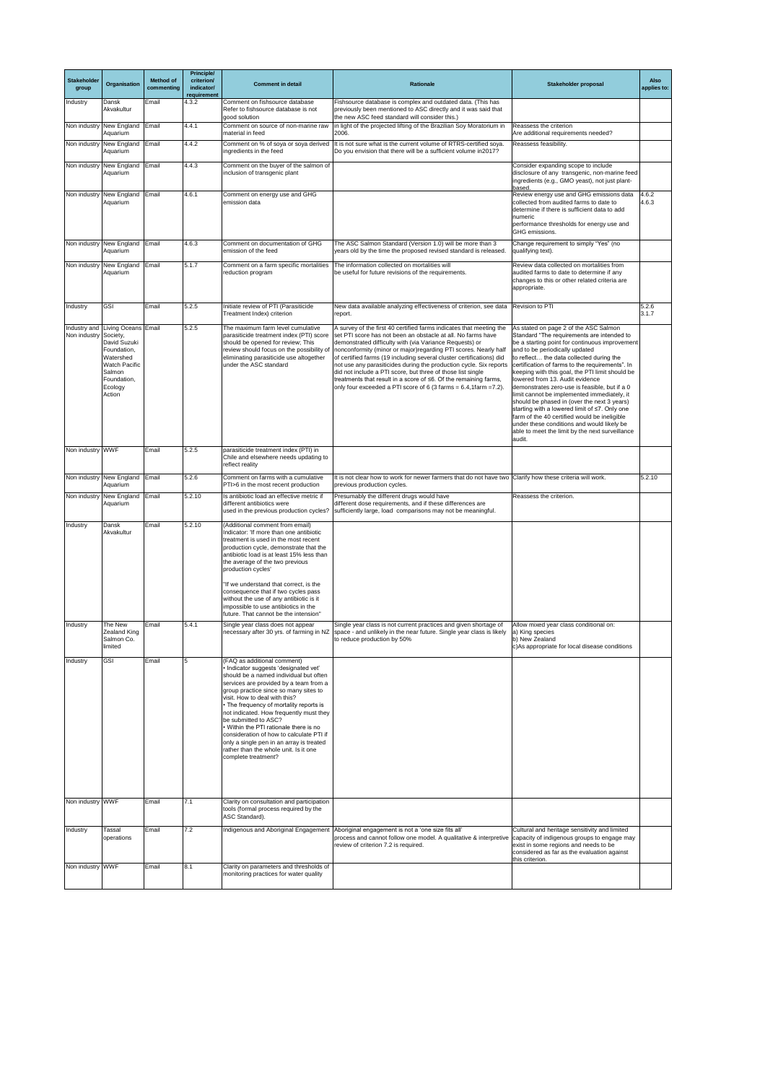| <b>Stakeholder</b><br>group | Organisation                                                                                                                                       | <b>Method of</b><br>commenting | <b>Principle/</b><br>criterion/<br>indicator/<br>requirement | <b>Comment in detail</b>                                                                                                                                                                                                                                                                                                                                                                                                                                                                                                                           | <b>Rationale</b>                                                                                                                                                                                                                                                                                                                                                                                                                                                                                                                                                                                                               | <b>Stakeholder proposal</b>                                                                                                                                                                                                                                                                                                                                                                                                                                                                                                                                                                                                                                                                                             | <b>Also</b><br>applies to: |
|-----------------------------|----------------------------------------------------------------------------------------------------------------------------------------------------|--------------------------------|--------------------------------------------------------------|----------------------------------------------------------------------------------------------------------------------------------------------------------------------------------------------------------------------------------------------------------------------------------------------------------------------------------------------------------------------------------------------------------------------------------------------------------------------------------------------------------------------------------------------------|--------------------------------------------------------------------------------------------------------------------------------------------------------------------------------------------------------------------------------------------------------------------------------------------------------------------------------------------------------------------------------------------------------------------------------------------------------------------------------------------------------------------------------------------------------------------------------------------------------------------------------|-------------------------------------------------------------------------------------------------------------------------------------------------------------------------------------------------------------------------------------------------------------------------------------------------------------------------------------------------------------------------------------------------------------------------------------------------------------------------------------------------------------------------------------------------------------------------------------------------------------------------------------------------------------------------------------------------------------------------|----------------------------|
| Industry                    | Dansk<br>Akvakultur                                                                                                                                | Email                          | 4.3.2                                                        | Comment on fishsource database<br>Refer to fishsource database is not<br>good solution                                                                                                                                                                                                                                                                                                                                                                                                                                                             | Fishsource database is complex and outdated data. (This has<br>previously been mentioned to ASC directly and it was said that<br>the new ASC feed standard will consider this.)                                                                                                                                                                                                                                                                                                                                                                                                                                                |                                                                                                                                                                                                                                                                                                                                                                                                                                                                                                                                                                                                                                                                                                                         |                            |
|                             | Non industry New England Email<br>Aquarium                                                                                                         |                                | 4.4.1                                                        | Comment on source of non-marine raw<br>material in feed                                                                                                                                                                                                                                                                                                                                                                                                                                                                                            | in light of the projected lifting of the Brazilian Soy Moratorium in<br>2006.                                                                                                                                                                                                                                                                                                                                                                                                                                                                                                                                                  | Reassess the criterion<br>Are additional requirements needed?                                                                                                                                                                                                                                                                                                                                                                                                                                                                                                                                                                                                                                                           |                            |
|                             | Non industry New England<br>Aquarium                                                                                                               | Email                          | 4.4.2                                                        | Comment on % of soya or soya derived<br>ingredients in the feed                                                                                                                                                                                                                                                                                                                                                                                                                                                                                    | It is not sure what is the current volume of RTRS-certified soya.<br>Do you envision that there will be a sufficient volume in 2017?                                                                                                                                                                                                                                                                                                                                                                                                                                                                                           | Reassess feasibility.                                                                                                                                                                                                                                                                                                                                                                                                                                                                                                                                                                                                                                                                                                   |                            |
|                             | Non industry New England Email<br>Aquarium                                                                                                         |                                | 4.4.3                                                        | Comment on the buyer of the salmon of<br>inclusion of transgenic plant                                                                                                                                                                                                                                                                                                                                                                                                                                                                             |                                                                                                                                                                                                                                                                                                                                                                                                                                                                                                                                                                                                                                | Consider expanding scope to include<br>disclosure of any transgenic, non-marine feed<br>ingredients (e.g., GMO yeast), not just plant-                                                                                                                                                                                                                                                                                                                                                                                                                                                                                                                                                                                  |                            |
|                             | Non industry New England Email<br>Aquarium                                                                                                         |                                | 4.6.1                                                        | Comment on energy use and GHG<br>emission data                                                                                                                                                                                                                                                                                                                                                                                                                                                                                                     |                                                                                                                                                                                                                                                                                                                                                                                                                                                                                                                                                                                                                                | based.<br>Review energy use and GHG emissions data<br>collected from audited farms to date to<br>determine if there is sufficient data to add<br>numeric<br>performance thresholds for energy use and<br><b>GHG</b> emissions.                                                                                                                                                                                                                                                                                                                                                                                                                                                                                          | 4.6.2<br>4.6.3             |
| Non industry                | New England Email<br>Aquarium                                                                                                                      |                                | 4.6.3                                                        | Comment on documentation of GHG<br>emission of the feed                                                                                                                                                                                                                                                                                                                                                                                                                                                                                            | The ASC Salmon Standard (Version 1.0) will be more than 3<br>years old by the time the proposed revised standard is released.                                                                                                                                                                                                                                                                                                                                                                                                                                                                                                  | Change requirement to simply "Yes" (no<br>qualifying text).                                                                                                                                                                                                                                                                                                                                                                                                                                                                                                                                                                                                                                                             |                            |
|                             | Non industry New England Email<br>Aquarium                                                                                                         |                                | 5.1.7                                                        | Comment on a farm specific mortalities<br>reduction program                                                                                                                                                                                                                                                                                                                                                                                                                                                                                        | The information collected on mortalities will<br>be useful for future revisions of the requirements.                                                                                                                                                                                                                                                                                                                                                                                                                                                                                                                           | Review data collected on mortalities from<br>audited farms to date to determine if any<br>changes to this or other related criteria are<br>appropriate.                                                                                                                                                                                                                                                                                                                                                                                                                                                                                                                                                                 |                            |
| Industry                    | GSI                                                                                                                                                | Email                          | 5.2.5                                                        | Initiate review of PTI (Parasiticide<br>Treatment Index) criterion                                                                                                                                                                                                                                                                                                                                                                                                                                                                                 | New data available analyzing effectiveness of criterion, see data<br>report.                                                                                                                                                                                                                                                                                                                                                                                                                                                                                                                                                   | <b>Revision to PTI</b>                                                                                                                                                                                                                                                                                                                                                                                                                                                                                                                                                                                                                                                                                                  | 5.2.6<br>3.1.7             |
| Non industry Society,       | Industry and Living Oceans Email<br>David Suzuki<br>Foundation,<br>Watershed<br><b>Watch Pacific</b><br>Salmon<br>Foundation,<br>Ecology<br>Action |                                | 5.2.5                                                        | The maximum farm level cumulative<br>parasiticide treatment index (PTI) score<br>should be opened for review; This<br>review should focus on the possibility of<br>eliminating parasiticide use altogether<br>under the ASC standard                                                                                                                                                                                                                                                                                                               | A survey of the first 40 certified farms indicates that meeting the<br>set PTI score has not been an obstacle at all. No farms have<br>demonstrated difficulty with (via Variance Requests) or<br>nonconformity (minor or major)regarding PTI scores. Nearly half<br>of certified farms (19 including several cluster certifications) did<br>not use any parasiticides during the production cycle. Six reports<br>did not include a PTI score, but three of those list single<br>treatments that result in a score of ≤6. Of the remaining farms,<br>only four exceeded a PTI score of 6 (3 farms = $6.4$ , 1 farm = $7.2$ ). | As stated on page 2 of the ASC Salmon<br>Standard "The requirements are intended to<br>be a starting point for continuous improvement<br>and to be periodically updated<br>to reflect the data collected during the<br>certification of farms to the requirements". In<br>keeping with this goal, the PTI limit should be<br>lowered from 13. Audit evidence<br>demonstrates zero-use is feasible, but if a 0<br>limit cannot be implemented immediately, it<br>should be phased in (over the next 3 years)<br>starting with a lowered limit of ≤7. Only one<br>farm of the 40 certified would be ineligible<br>under these conditions and would likely be<br>able to meet the limit by the next surveillance<br>audit. |                            |
| Non industry WWF            |                                                                                                                                                    | Email                          | 5.2.5                                                        | parasiticide treatment index (PTI) in<br>Chile and elsewhere needs updating to<br>reflect reality                                                                                                                                                                                                                                                                                                                                                                                                                                                  |                                                                                                                                                                                                                                                                                                                                                                                                                                                                                                                                                                                                                                |                                                                                                                                                                                                                                                                                                                                                                                                                                                                                                                                                                                                                                                                                                                         |                            |
|                             | Non industry New England Email<br>Aquarium                                                                                                         |                                | 5.2.6                                                        | Comment on farms with a cumulative<br>PTI>6 in the most recent production                                                                                                                                                                                                                                                                                                                                                                                                                                                                          | It is not clear how to work for newer farmers that do not have two Clarify how these criteria will work.<br>previous production cycles.                                                                                                                                                                                                                                                                                                                                                                                                                                                                                        |                                                                                                                                                                                                                                                                                                                                                                                                                                                                                                                                                                                                                                                                                                                         | 5.2.10                     |
|                             | Non industry New England<br>Aquarium                                                                                                               | Email                          | 5.2.10                                                       | Is antibiotic load an effective metric if<br>different antibiotics were<br>used in the previous production cycles?                                                                                                                                                                                                                                                                                                                                                                                                                                 | Presumably the different drugs would have<br>different dose requirements, and if these differences are<br>sufficiently large, load comparisons may not be meaningful.                                                                                                                                                                                                                                                                                                                                                                                                                                                          | Reassess the criterion.                                                                                                                                                                                                                                                                                                                                                                                                                                                                                                                                                                                                                                                                                                 |                            |
| Industry                    | Dansk<br>Akvakultur                                                                                                                                | Email                          | 5.2.10                                                       | (Additional comment from email)<br>Indicator: 'If more than one antibiotic<br>treatment is used in the most recent<br>production cycle, demonstrate that the<br>antibiotic load is at least 15% less than<br>the average of the two previous<br>production cycles'<br>"If we understand that correct, is the<br>consequence that if two cycles pass<br>without the use of any antibiotic is it<br>impossible to use antibiotics in the<br>future. That cannot be the intension"                                                                    |                                                                                                                                                                                                                                                                                                                                                                                                                                                                                                                                                                                                                                |                                                                                                                                                                                                                                                                                                                                                                                                                                                                                                                                                                                                                                                                                                                         |                            |
| Industry                    | The New<br>Zealand King<br>Salmon Co.<br>limited                                                                                                   | Email                          | 5.4.1                                                        | Single year class does not appear                                                                                                                                                                                                                                                                                                                                                                                                                                                                                                                  | Single year class is not current practices and given shortage of<br>necessary after 30 yrs. of farming in NZ   space - and unlikely in the near future. Single year class is likely<br>to reduce production by 50%                                                                                                                                                                                                                                                                                                                                                                                                             | Allow mixed year class conditional on:<br>a) King species<br>b) New Zealand<br>c) As appropriate for local disease conditions                                                                                                                                                                                                                                                                                                                                                                                                                                                                                                                                                                                           |                            |
| Industry                    | GSI                                                                                                                                                | Email                          |                                                              | (FAQ as additional comment)<br>· Indicator suggests 'designated vet'<br>should be a named individual but often<br>services are provided by a team from a<br>group practice since so many sites to<br>visit. How to deal with this?<br>• The frequency of mortality reports is<br>not indicated. How frequently must they<br>be submitted to ASC?<br>. Within the PTI rationale there is no<br>consideration of how to calculate PTI if<br>only a single pen in an array is treated<br>rather than the whole unit. Is it one<br>complete treatment? |                                                                                                                                                                                                                                                                                                                                                                                                                                                                                                                                                                                                                                |                                                                                                                                                                                                                                                                                                                                                                                                                                                                                                                                                                                                                                                                                                                         |                            |
| Non industry WWF            |                                                                                                                                                    | Email                          | 17.1                                                         | Clarity on consultation and participation<br>tools (formal process required by the<br>ASC Standard).                                                                                                                                                                                                                                                                                                                                                                                                                                               |                                                                                                                                                                                                                                                                                                                                                                                                                                                                                                                                                                                                                                |                                                                                                                                                                                                                                                                                                                                                                                                                                                                                                                                                                                                                                                                                                                         |                            |
| Industry                    | Tassal<br>operations                                                                                                                               | Email                          | 7.2                                                          | Indigenous and Aboriginal Engagement                                                                                                                                                                                                                                                                                                                                                                                                                                                                                                               | Aboriginal engagement is not a 'one size fits all'<br>process and cannot follow one model. A qualitative & interpretive capacity of indigenous groups to engage may<br>review of criterion 7.2 is required.                                                                                                                                                                                                                                                                                                                                                                                                                    | Cultural and heritage sensitivity and limited<br>exist in some regions and needs to be<br>considered as far as the evaluation against<br>this criterion.                                                                                                                                                                                                                                                                                                                                                                                                                                                                                                                                                                |                            |
| Non industry WWF            |                                                                                                                                                    | Email                          | 8.1                                                          | Clarity on parameters and thresholds of<br>monitoring practices for water quality                                                                                                                                                                                                                                                                                                                                                                                                                                                                  |                                                                                                                                                                                                                                                                                                                                                                                                                                                                                                                                                                                                                                |                                                                                                                                                                                                                                                                                                                                                                                                                                                                                                                                                                                                                                                                                                                         |                            |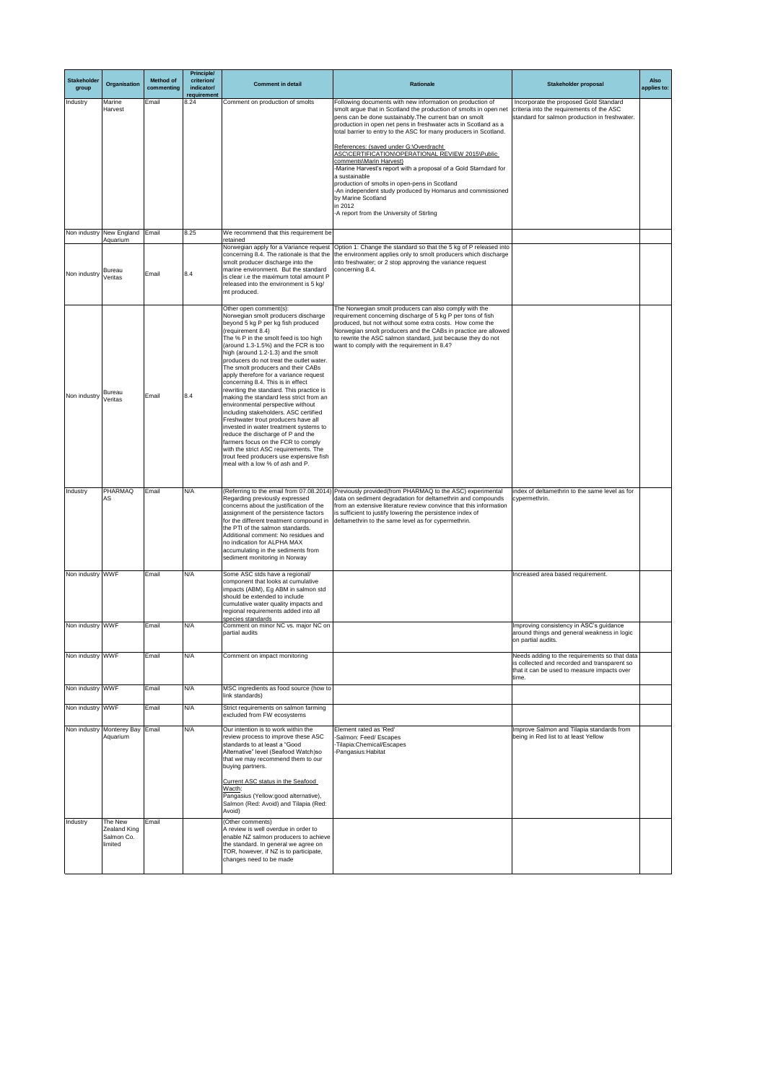| Stakeholder<br>group     | Organisation                              | <b>Method of</b><br>commenting | <b>Principle/</b><br>criterion/<br>indicator/<br>requirement | <b>Comment in detail</b>                                                                                                                                                                                                                                                                                                                                                                                                                                                                                                                                                                                                                                                                                                                                                                                                                                                  | Rationale                                                                                                                                                                                                                                                                                                                                                                                                                                                                                                                                                                                                                                                                                                                                    | <b>Stakeholder proposal</b>                                                                                                                           | <b>Also</b><br>applies to: |
|--------------------------|-------------------------------------------|--------------------------------|--------------------------------------------------------------|---------------------------------------------------------------------------------------------------------------------------------------------------------------------------------------------------------------------------------------------------------------------------------------------------------------------------------------------------------------------------------------------------------------------------------------------------------------------------------------------------------------------------------------------------------------------------------------------------------------------------------------------------------------------------------------------------------------------------------------------------------------------------------------------------------------------------------------------------------------------------|----------------------------------------------------------------------------------------------------------------------------------------------------------------------------------------------------------------------------------------------------------------------------------------------------------------------------------------------------------------------------------------------------------------------------------------------------------------------------------------------------------------------------------------------------------------------------------------------------------------------------------------------------------------------------------------------------------------------------------------------|-------------------------------------------------------------------------------------------------------------------------------------------------------|----------------------------|
| Industry                 | Marine<br>Harvest                         | Email                          | 8.24                                                         | Comment on production of smolts                                                                                                                                                                                                                                                                                                                                                                                                                                                                                                                                                                                                                                                                                                                                                                                                                                           | Following documents with new information on production of<br>smolt argue that in Scotland the production of smolts in open net<br>pens can be done sustainably. The current ban on smolt<br>production in open net pens in freshwater acts in Scotland as a<br>total barrier to entry to the ASC for many producers in Scotland.<br>References: (saved under G:\Overdracht<br>ASC\CERTIFICATION\OPERATIONAL REVIEW 2015\Public<br>comments\Marin Harvest)<br>-Marine Harvest's report with a proposal of a Gold Starndard for<br>la sustainable<br>production of smolts in open-pens in Scotland<br>-An independent study produced by Homarus and commissioned<br>by Marine Scotland<br>in 2012<br>-A report from the University of Stirling | Incorporate the proposed Gold Standard<br>criteria into the requirements of the ASC<br>standard for salmon production in freshwater.                  |                            |
|                          | Non industry New England Email            |                                | 8.25                                                         | We recommend that this requirement be                                                                                                                                                                                                                                                                                                                                                                                                                                                                                                                                                                                                                                                                                                                                                                                                                                     |                                                                                                                                                                                                                                                                                                                                                                                                                                                                                                                                                                                                                                                                                                                                              |                                                                                                                                                       |                            |
| Non industry             | Aquarium<br><b>Bureau</b><br>Veritas      | Email                          | 8.4                                                          | retained<br>smolt producer discharge into the<br>marine environment. But the standard<br>is clear i.e the maximum total amount P<br>released into the environment is 5 kg/<br>mt produced.                                                                                                                                                                                                                                                                                                                                                                                                                                                                                                                                                                                                                                                                                | Norwegian apply for a Variance request Option 1: Change the standard so that the 5 kg of P released into<br>concerning 8.4. The rationale is that the  the environment applies only to smolt producers which discharge<br>into freshwater; or 2 stop approving the variance request<br>concerning 8.4.                                                                                                                                                                                                                                                                                                                                                                                                                                       |                                                                                                                                                       |                            |
| Non industry             | <b>Bureau</b><br>Veritas                  | Email                          | 8.4                                                          | Other open comment(s):<br>Norwegian smolt producers discharge<br>beyond 5 kg P per kg fish produced<br>(requirement 8.4)<br>The % P in the smolt feed is too high<br>(around 1.3-1.5%) and the FCR is too<br>high (around 1.2-1.3) and the smolt<br>producers do not treat the outlet water.<br>The smolt producers and their CABs<br>apply therefore for a variance request<br>concerning 8.4. This is in effect<br>rewriting the standard. This practice is<br>making the standard less strict from an<br>environmental perspective without<br>including stakeholders. ASC certified<br>Freshwater trout producers have all<br>invested in water treatment systems to<br>reduce the discharge of P and the<br>farmers focus on the FCR to comply<br>with the strict ASC requirements. The<br>trout feed producers use expensive fish<br>meal with a low % of ash and P. | The Norwegian smolt producers can also comply with the<br>requirement concerning discharge of 5 kg P per tons of fish<br>produced, but not without some extra costs. How come the<br>Norwegian smolt producers and the CABs in practice are allowed<br>to rewrite the ASC salmon standard, just because they do not<br>want to comply with the requirement in 8.4?                                                                                                                                                                                                                                                                                                                                                                           |                                                                                                                                                       |                            |
| Industry                 | <b>PHARMAQ</b><br>AS                      | Email                          | N/A                                                          | Regarding previously expressed<br>concerns about the justification of the<br>assignment of the persistence factors<br>the PTI of the salmon standards.<br>Additional comment: No residues and<br>no indication for ALPHA MAX<br>accumulating in the sediments from<br>sediment monitoring in Norway                                                                                                                                                                                                                                                                                                                                                                                                                                                                                                                                                                       | (Referring to the email from 07.08.2014) Previously provided (from PHARMAQ to the ASC) experimental<br>data on sediment degradation for deltamethrin and compounds<br>from an extensive literature review convince that this information<br>is sufficient to justify lowering the persistence index of<br>for the different treatment compound in deltamethrin to the same level as for cypermethrin.                                                                                                                                                                                                                                                                                                                                        | index of deltamethrin to the same level as for<br>cypermethrin.                                                                                       |                            |
| Non industry WWF         |                                           | Email                          | N/A                                                          | Some ASC stds have a regional/<br>component that looks at cumulative<br>impacts (ABM), Eg ABM in salmon std<br>should be extended to include<br>cumulative water quality impacts and<br>regional requirements added into all                                                                                                                                                                                                                                                                                                                                                                                                                                                                                                                                                                                                                                              |                                                                                                                                                                                                                                                                                                                                                                                                                                                                                                                                                                                                                                                                                                                                              | Increased area based requirement.                                                                                                                     |                            |
| Non industry WWF         |                                           | Email                          | N/A                                                          | species standards<br>Comment on minor NC vs. major NC on<br>partial audits                                                                                                                                                                                                                                                                                                                                                                                                                                                                                                                                                                                                                                                                                                                                                                                                |                                                                                                                                                                                                                                                                                                                                                                                                                                                                                                                                                                                                                                                                                                                                              | Improving consistency in ASC's guidance<br>around things and general weakness in logic<br>on partial audits.                                          |                            |
| Non industry WWF         |                                           | Email                          | N/A                                                          | Comment on impact monitoring                                                                                                                                                                                                                                                                                                                                                                                                                                                                                                                                                                                                                                                                                                                                                                                                                                              |                                                                                                                                                                                                                                                                                                                                                                                                                                                                                                                                                                                                                                                                                                                                              | Needs adding to the requirements so that data<br>is collected and recorded and transparent so<br>that it can be used to measure impacts over<br>time. |                            |
| Non industry WWF         |                                           | Email                          | N/A                                                          | MSC ingredients as food source (how to<br>link standards)                                                                                                                                                                                                                                                                                                                                                                                                                                                                                                                                                                                                                                                                                                                                                                                                                 |                                                                                                                                                                                                                                                                                                                                                                                                                                                                                                                                                                                                                                                                                                                                              |                                                                                                                                                       |                            |
| Non industry WWF         |                                           | Email                          | N/A                                                          | Strict requirements on salmon farming<br>excluded from FW ecosystems                                                                                                                                                                                                                                                                                                                                                                                                                                                                                                                                                                                                                                                                                                                                                                                                      |                                                                                                                                                                                                                                                                                                                                                                                                                                                                                                                                                                                                                                                                                                                                              |                                                                                                                                                       |                            |
| Non industry<br>Industry | Monterey Bay Email<br>Aquarium<br>The New | Email                          | N/A                                                          | Our intention is to work within the<br>review process to improve these ASC<br>standards to at least a "Good<br>Alternative" level (Seafood Watch)so<br>that we may recommend them to our<br>buying partners.<br>Current ASC status in the Seafood<br>Wacth:<br>Pangasius (Yellow:good alternative),<br>Salmon (Red: Avoid) and Tilapia (Red:<br>Avoid)<br>(Other comments)                                                                                                                                                                                                                                                                                                                                                                                                                                                                                                | Element rated as 'Red'<br>-Salmon: Feed/ Escapes<br>-Tilapia: Chemical/Escapes<br>-Pangasius: Habitat                                                                                                                                                                                                                                                                                                                                                                                                                                                                                                                                                                                                                                        | Improve Salmon and Tilapia standards from<br>being in Red list to at least Yellow                                                                     |                            |
|                          | Zealand King<br>Salmon Co.<br>limited     |                                |                                                              | A review is well overdue in order to<br>enable NZ salmon producers to achieve<br>the standard. In general we agree on<br>TOR, however, if NZ is to participate,<br>changes need to be made                                                                                                                                                                                                                                                                                                                                                                                                                                                                                                                                                                                                                                                                                |                                                                                                                                                                                                                                                                                                                                                                                                                                                                                                                                                                                                                                                                                                                                              |                                                                                                                                                       |                            |